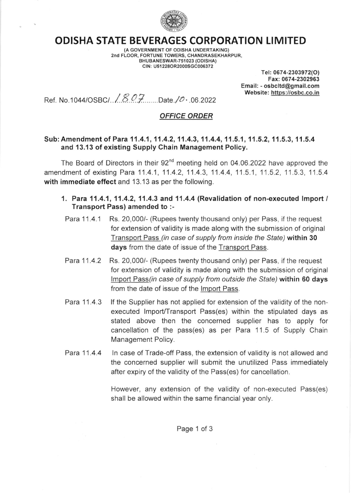

## ODISHA STATE BEVERAGES CORPORATION LIMITED

(A GOVERNMENT OF ODISHA UNDERTAKING) 2nd FLOOR, FORTUNE TOWERS, CHANDRASEKHARPUR, BHUBANESWAR-751023 (ODISHA) CIN: U51228OR2000SGC006372

Tel: 0674-2303972(O) Fax: 0674-2302963 Email: - osbcltd@gmail.com Website: https://osbc.co.in

Ref . No. 1 044lo slct .. /..8..Q..V........out . / o, .06.2022

## OFFICE ORDER

## Sub: Amendment of Para 11.4.1, 11.4.2, 11.4.3, 11.4.4, 11.5.1, 11.5.2, 11.5.3, 11.5.4 and 13.13 of existing Supply Chain Management Policy.

The Board of Directors in their  $92<sup>nd</sup>$  meeting held on 04.06.2022 have approved the amendment of existing Para 11.4.1, 11.4.2, 11.4.3, 11.4.4, 11.5.1, 11.5.2, 11.5.3, 11.5.4 with immediate effect and 13.13 as per the following.

- 1. Para 11.4.1, 11.4.2, 11.4.3 and 11.4.4 (Revalidation of non-executed Import / Transport Pass) amended to :-
	- Para 11.4.1 Rs. 20,000/- (Rupees twenty thousand only) per Pass, if the request for extension of validity is made along with the submission of original Transport Pass (in case of supply from inside the Sfafe) within 30 days from the date of issue of the Transport Pass.
- Para 11.4.2 Rs. 20,000/- (Rupees twenty thousand only) per Pass, if the request for extension of validity is made along with the submission of original Import Pass(in case of supply from outside the State) within 60 days from the date of issue of the lmport Pass
- Para 11.4.3 lf the Supplier has not applied for extension of the validity of the nonexecuted Import/Transport Pass(es) within the stipulated days as stated above then the concerned supplier has to apply for cancellation of the pass(es) as per Para 11.5 of Supply Chain Management Policy.
- Para 11.4.4 ln case of Trade-off Pass, the extension of validity is not allowed and the concerned supplier will submit the unutilized Pass immediately after expiry of the validity of the Pass(es) for cancellation.

However, any extension of the validity of non-executed Pass(es) shall be allowed within the same financial year only.